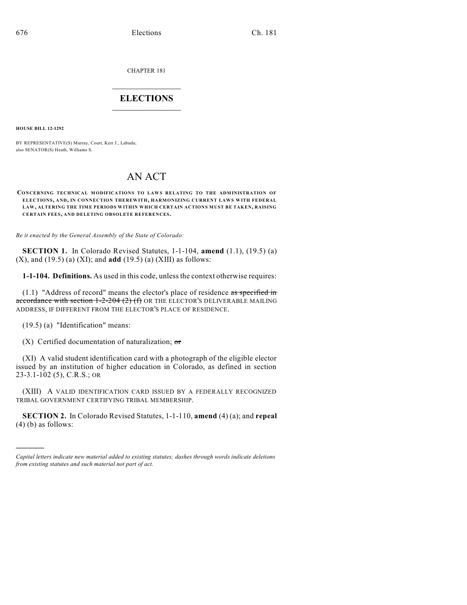CHAPTER 181

## $\overline{\phantom{a}}$  . The set of the set of the set of the set of the set of the set of the set of the set of the set of the set of the set of the set of the set of the set of the set of the set of the set of the set of the set o **ELECTIONS**  $\_$

**HOUSE BILL 12-1292**

BY REPRESENTATIVE(S) Murray, Court, Kerr J., Labuda; also SENATOR(S) Heath, Williams S.

# AN ACT

**CONCERNING TECHNICAL MODIFICATIONS TO LAWS RELATING TO THE ADMINISTRATION OF ELECTIONS, AND, IN CONNECTION THEREWITH, HARMONIZING CURRENT LAWS WITH FEDERAL LAW, ALTERING THE TIME PERIODS WITHIN WHICH CERTAIN ACTIONS MUST BE TAKEN, RAISING CERTAIN FEES, AND DELETING OBSOLETE REFERENCES.**

*Be it enacted by the General Assembly of the State of Colorado:*

**SECTION 1.** In Colorado Revised Statutes, 1-1-104, **amend** (1.1), (19.5) (a) (X), and (19.5) (a) (XI); and **add** (19.5) (a) (XIII) as follows:

**1-1-104. Definitions.** As used in this code, unless the context otherwise requires:

 $(1.1)$  "Address of record" means the elector's place of residence as specified in accordance with section  $1-2-204$   $(2)$   $(f)$  OR THE ELECTOR'S DELIVERABLE MAILING ADDRESS, IF DIFFERENT FROM THE ELECTOR'S PLACE OF RESIDENCE.

(19.5) (a) "Identification" means:

)))))

(X) Certified documentation of naturalization;  $\sigma$ 

(XI) A valid student identification card with a photograph of the eligible elector issued by an institution of higher education in Colorado, as defined in section 23-3.1-102 (5), C.R.S.; OR

(XIII) A VALID IDENTIFICATION CARD ISSUED BY A FEDERALLY RECOGNIZED TRIBAL GOVERNMENT CERTIFYING TRIBAL MEMBERSHIP.

**SECTION 2.** In Colorado Revised Statutes, 1-1-110, **amend** (4) (a); and **repeal**  $(4)$  (b) as follows:

*Capital letters indicate new material added to existing statutes; dashes through words indicate deletions from existing statutes and such material not part of act.*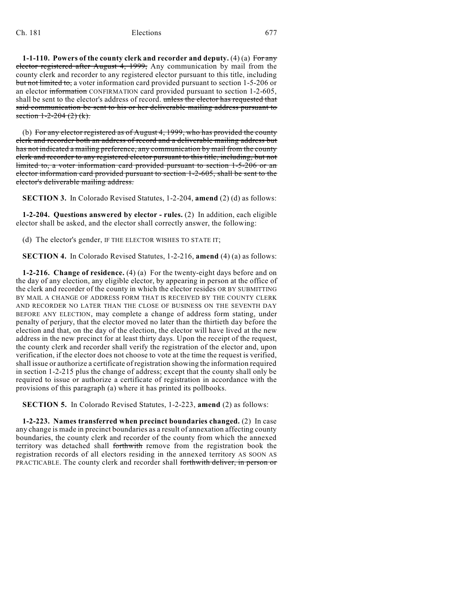**1-1-110. Powers of the county clerk and recorder and deputy.** (4) (a) For any elector registered after August 4, 1999, Any communication by mail from the county clerk and recorder to any registered elector pursuant to this title, including but not limited to, a voter information card provided pursuant to section 1-5-206 or an elector information CONFIRMATION card provided pursuant to section 1-2-605, shall be sent to the elector's address of record. unless the elector has requested that said communication be sent to his or her deliverable mailing address pursuant to section  $1-2-204$   $(2)$   $(k)$ .

(b) For any elector registered as of August 4, 1999, who has provided the county clerk and recorder both an address of record and a deliverable mailing address but has not indicated a mailing preference, any communication by mail from the county clerk and recorder to any registered elector pursuant to this title, including, but not limited to, a voter information card provided pursuant to section 1-5-206 or an elector information card provided pursuant to section 1-2-605, shall be sent to the elector's deliverable mailing address.

**SECTION 3.** In Colorado Revised Statutes, 1-2-204, **amend** (2) (d) as follows:

**1-2-204. Questions answered by elector - rules.** (2) In addition, each eligible elector shall be asked, and the elector shall correctly answer, the following:

(d) The elector's gender, IF THE ELECTOR WISHES TO STATE IT;

**SECTION 4.** In Colorado Revised Statutes, 1-2-216, **amend** (4) (a) as follows:

**1-2-216. Change of residence.** (4) (a) For the twenty-eight days before and on the day of any election, any eligible elector, by appearing in person at the office of the clerk and recorder of the county in which the elector resides OR BY SUBMITTING BY MAIL A CHANGE OF ADDRESS FORM THAT IS RECEIVED BY THE COUNTY CLERK AND RECORDER NO LATER THAN THE CLOSE OF BUSINESS ON THE SEVENTH DAY BEFORE ANY ELECTION, may complete a change of address form stating, under penalty of perjury, that the elector moved no later than the thirtieth day before the election and that, on the day of the election, the elector will have lived at the new address in the new precinct for at least thirty days. Upon the receipt of the request, the county clerk and recorder shall verify the registration of the elector and, upon verification, if the elector does not choose to vote at the time the request is verified, shall issue or authorize a certificate of registration showing the information required in section 1-2-215 plus the change of address; except that the county shall only be required to issue or authorize a certificate of registration in accordance with the provisions of this paragraph (a) where it has printed its pollbooks.

**SECTION 5.** In Colorado Revised Statutes, 1-2-223, **amend** (2) as follows:

**1-2-223. Names transferred when precinct boundaries changed.** (2) In case any change is made in precinct boundaries as a result of annexation affecting county boundaries, the county clerk and recorder of the county from which the annexed territory was detached shall forthwith remove from the registration book the registration records of all electors residing in the annexed territory AS SOON AS PRACTICABLE. The county clerk and recorder shall forthwith deliver, in person or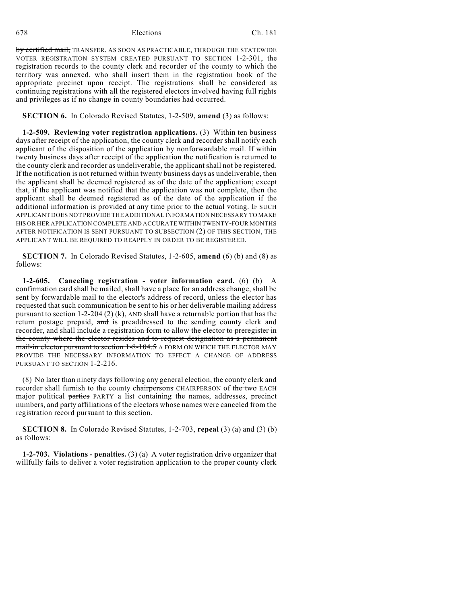by certified mail, TRANSFER, AS SOON AS PRACTICABLE, THROUGH THE STATEWIDE VOTER REGISTRATION SYSTEM CREATED PURSUANT TO SECTION 1-2-301, the registration records to the county clerk and recorder of the county to which the territory was annexed, who shall insert them in the registration book of the appropriate precinct upon receipt. The registrations shall be considered as continuing registrations with all the registered electors involved having full rights and privileges as if no change in county boundaries had occurred.

**SECTION 6.** In Colorado Revised Statutes, 1-2-509, **amend** (3) as follows:

**1-2-509. Reviewing voter registration applications.** (3) Within ten business days after receipt of the application, the county clerk and recorder shall notify each applicant of the disposition of the application by nonforwardable mail. If within twenty business days after receipt of the application the notification is returned to the county clerk and recorder as undeliverable, the applicant shall not be registered. If the notification is not returned within twenty business days as undeliverable, then the applicant shall be deemed registered as of the date of the application; except that, if the applicant was notified that the application was not complete, then the applicant shall be deemed registered as of the date of the application if the additional information is provided at any time prior to the actual voting. IF SUCH APPLICANT DOES NOT PROVIDE THE ADDITIONAL INFORMATION NECESSARY TO MAKE HIS OR HER APPLICATION COMPLETE AND ACCURATE WITHIN TWENTY-FOUR MONTHS AFTER NOTIFICATION IS SENT PURSUANT TO SUBSECTION (2) OF THIS SECTION, THE APPLICANT WILL BE REQUIRED TO REAPPLY IN ORDER TO BE REGISTERED.

**SECTION 7.** In Colorado Revised Statutes, 1-2-605, **amend** (6) (b) and (8) as follows:

**1-2-605. Canceling registration - voter information card.** (6) (b) A confirmation card shall be mailed, shall have a place for an address change, shall be sent by forwardable mail to the elector's address of record, unless the elector has requested that such communication be sent to his or her deliverable mailing address pursuant to section  $1-2-204$  (2) (k), AND shall have a returnable portion that has the return postage prepaid, and is preaddressed to the sending county clerk and recorder, and shall include a registration form to allow the elector to preregister in the county where the elector resides and to request designation as a permanent mail-in elector pursuant to section 1-8-104.5 A FORM ON WHICH THE ELECTOR MAY PROVIDE THE NECESSARY INFORMATION TO EFFECT A CHANGE OF ADDRESS PURSUANT TO SECTION 1-2-216.

(8) No later than ninety days following any general election, the county clerk and recorder shall furnish to the county chairpersons CHAIRPERSON of the two EACH major political parties PARTY a list containing the names, addresses, precinct numbers, and party affiliations of the electors whose names were canceled from the registration record pursuant to this section.

**SECTION 8.** In Colorado Revised Statutes, 1-2-703, **repeal** (3) (a) and (3) (b) as follows:

**1-2-703. Violations - penalties.** (3) (a) A voter registration drive organizer that willfully fails to deliver a voter registration application to the proper county clerk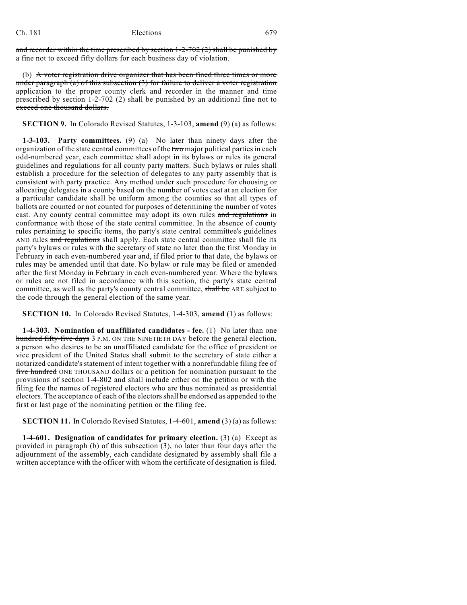and recorder within the time prescribed by section  $1-2-702(2)$  shall be punished by a fine not to exceed fifty dollars for each business day of violation.

(b) A voter registration drive organizer that has been fined three times or more under paragraph  $(a)$  of this subsection  $(3)$  for failure to deliver a voter registration application to the proper county clerk and recorder in the manner and time prescribed by section 1-2-702 (2) shall be punished by an additional fine not to exceed one thousand dollars.

**SECTION 9.** In Colorado Revised Statutes, 1-3-103, **amend** (9) (a) as follows:

**1-3-103. Party committees.** (9) (a) No later than ninety days after the organization of the state central committees of the two major political parties in each odd-numbered year, each committee shall adopt in its bylaws or rules its general guidelines and regulations for all county party matters. Such bylaws or rules shall establish a procedure for the selection of delegates to any party assembly that is consistent with party practice. Any method under such procedure for choosing or allocating delegates in a county based on the number of votes cast at an election for a particular candidate shall be uniform among the counties so that all types of ballots are counted or not counted for purposes of determining the number of votes cast. Any county central committee may adopt its own rules and regulations in conformance with those of the state central committee. In the absence of county rules pertaining to specific items, the party's state central committee's guidelines AND rules and regulations shall apply. Each state central committee shall file its party's bylaws or rules with the secretary of state no later than the first Monday in February in each even-numbered year and, if filed prior to that date, the bylaws or rules may be amended until that date. No bylaw or rule may be filed or amended after the first Monday in February in each even-numbered year. Where the bylaws or rules are not filed in accordance with this section, the party's state central committee, as well as the party's county central committee, shall be ARE subject to the code through the general election of the same year.

**SECTION 10.** In Colorado Revised Statutes, 1-4-303, **amend** (1) as follows:

**1-4-303. Nomination of unaffiliated candidates - fee.** (1) No later than one hundred fifty-five days 3 P.M. ON THE NINETIETH DAY before the general election, a person who desires to be an unaffiliated candidate for the office of president or vice president of the United States shall submit to the secretary of state either a notarized candidate's statement of intent together with a nonrefundable filing fee of five hundred ONE THOUSAND dollars or a petition for nomination pursuant to the provisions of section 1-4-802 and shall include either on the petition or with the filing fee the names of registered electors who are thus nominated as presidential electors. The acceptance of each of the electorsshall be endorsed as appended to the first or last page of the nominating petition or the filing fee.

**SECTION 11.** In Colorado Revised Statutes, 1-4-601, **amend** (3) (a) as follows:

**1-4-601. Designation of candidates for primary election.** (3) (a) Except as provided in paragraph (b) of this subsection (3), no later than four days after the adjournment of the assembly, each candidate designated by assembly shall file a written acceptance with the officer with whom the certificate of designation is filed.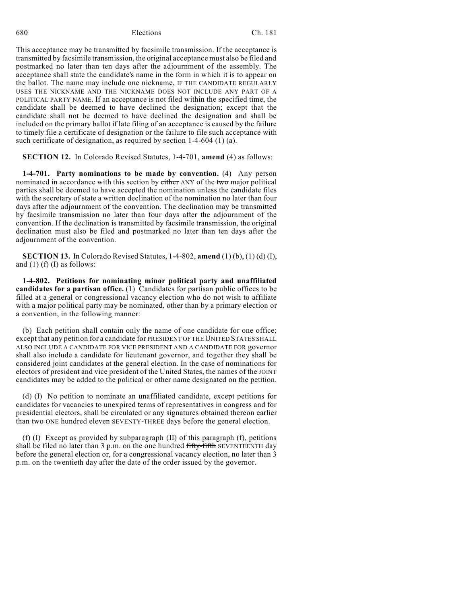This acceptance may be transmitted by facsimile transmission. If the acceptance is transmitted by facsimile transmission, the original acceptance must also be filed and postmarked no later than ten days after the adjournment of the assembly. The acceptance shall state the candidate's name in the form in which it is to appear on the ballot. The name may include one nickname, IF THE CANDIDATE REGULARLY USES THE NICKNAME AND THE NICKNAME DOES NOT INCLUDE ANY PART OF A POLITICAL PARTY NAME. If an acceptance is not filed within the specified time, the candidate shall be deemed to have declined the designation; except that the candidate shall not be deemed to have declined the designation and shall be included on the primary ballot if late filing of an acceptance is caused by the failure to timely file a certificate of designation or the failure to file such acceptance with such certificate of designation, as required by section 1-4-604 (1) (a).

**SECTION 12.** In Colorado Revised Statutes, 1-4-701, **amend** (4) as follows:

**1-4-701. Party nominations to be made by convention.** (4) Any person nominated in accordance with this section by either ANY of the two major political parties shall be deemed to have accepted the nomination unless the candidate files with the secretary of state a written declination of the nomination no later than four days after the adjournment of the convention. The declination may be transmitted by facsimile transmission no later than four days after the adjournment of the convention. If the declination is transmitted by facsimile transmission, the original declination must also be filed and postmarked no later than ten days after the adjournment of the convention.

**SECTION 13.** In Colorado Revised Statutes, 1-4-802, **amend** (1) (b), (1) (d) (I), and  $(1)$  (f)  $(I)$  as follows:

**1-4-802. Petitions for nominating minor political party and unaffiliated candidates for a partisan office.** (1) Candidates for partisan public offices to be filled at a general or congressional vacancy election who do not wish to affiliate with a major political party may be nominated, other than by a primary election or a convention, in the following manner:

(b) Each petition shall contain only the name of one candidate for one office; except that any petition for a candidate for PRESIDENT OF THE UNITED STATES SHALL ALSO INCLUDE A CANDIDATE FOR VICE PRESIDENT AND A CANDIDATE FOR governor shall also include a candidate for lieutenant governor, and together they shall be considered joint candidates at the general election. In the case of nominations for electors of president and vice president of the United States, the names of the JOINT candidates may be added to the political or other name designated on the petition.

(d) (I) No petition to nominate an unaffiliated candidate, except petitions for candidates for vacancies to unexpired terms of representatives in congress and for presidential electors, shall be circulated or any signatures obtained thereon earlier than two ONE hundred eleven SEVENTY-THREE days before the general election.

(f) (I) Except as provided by subparagraph (II) of this paragraph (f), petitions shall be filed no later than 3 p.m. on the one hundred fifty-fifth SEVENTEENTH day before the general election or, for a congressional vacancy election, no later than 3 p.m. on the twentieth day after the date of the order issued by the governor.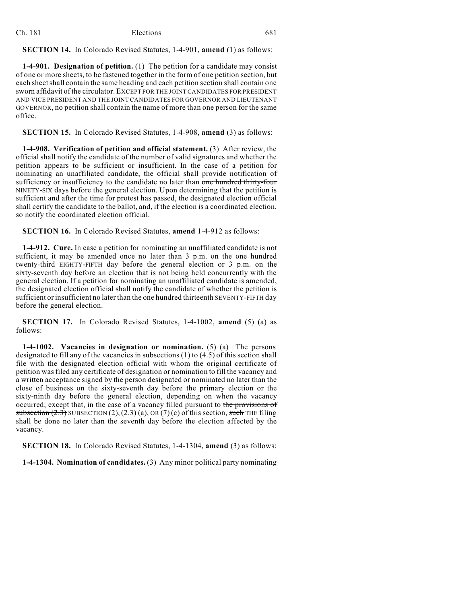**SECTION 14.** In Colorado Revised Statutes, 1-4-901, **amend** (1) as follows:

**1-4-901. Designation of petition.** (1) The petition for a candidate may consist of one or more sheets, to be fastened together in the form of one petition section, but each sheetshall contain the same heading and each petition section shall contain one sworn affidavit of the circulator. EXCEPT FOR THE JOINTCANDIDATES FOR PRESIDENT AND VICE PRESIDENT AND THE JOINT CANDIDATES FOR GOVERNOR AND LIEUTENANT GOVERNOR, no petition shall contain the name of more than one person for the same office.

#### **SECTION 15.** In Colorado Revised Statutes, 1-4-908, **amend** (3) as follows:

**1-4-908. Verification of petition and official statement.** (3) After review, the official shall notify the candidate of the number of valid signatures and whether the petition appears to be sufficient or insufficient. In the case of a petition for nominating an unaffiliated candidate, the official shall provide notification of sufficiency or insufficiency to the candidate no later than one hundred thirty-four NINETY-SIX days before the general election. Upon determining that the petition is sufficient and after the time for protest has passed, the designated election official shall certify the candidate to the ballot, and, if the election is a coordinated election, so notify the coordinated election official.

**SECTION 16.** In Colorado Revised Statutes, **amend** 1-4-912 as follows:

**1-4-912. Cure.** In case a petition for nominating an unaffiliated candidate is not sufficient, it may be amended once no later than  $3$  p.m. on the one hundred twenty-third EIGHTY-FIFTH day before the general election or 3 p.m. on the sixty-seventh day before an election that is not being held concurrently with the general election. If a petition for nominating an unaffiliated candidate is amended, the designated election official shall notify the candidate of whether the petition is sufficient or insufficient no later than the one hundred thirteenth SEVENTY-FIFTH day before the general election.

**SECTION 17.** In Colorado Revised Statutes, 1-4-1002, **amend** (5) (a) as follows:

**1-4-1002. Vacancies in designation or nomination.** (5) (a) The persons designated to fill any of the vacancies in subsections (1) to (4.5) of this section shall file with the designated election official with whom the original certificate of petition wasfiled any certificate of designation or nomination to fill the vacancy and a written acceptance signed by the person designated or nominated no later than the close of business on the sixty-seventh day before the primary election or the sixty-ninth day before the general election, depending on when the vacancy occurred; except that, in the case of a vacancy filled pursuant to the provisions of subsection  $(2,3)$  SUBSECTION  $(2),(2,3)$  (a), OR  $(7)$  (c) of this section, such THE filing shall be done no later than the seventh day before the election affected by the vacancy.

**SECTION 18.** In Colorado Revised Statutes, 1-4-1304, **amend** (3) as follows:

**1-4-1304. Nomination of candidates.** (3) Any minor political party nominating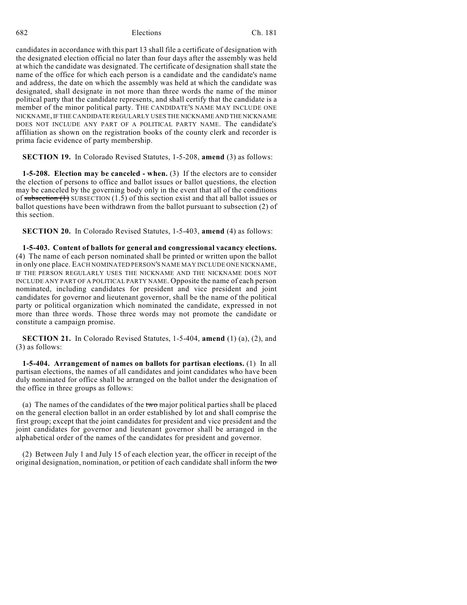candidates in accordance with this part 13 shall file a certificate of designation with the designated election official no later than four days after the assembly was held at which the candidate was designated. The certificate of designation shall state the name of the office for which each person is a candidate and the candidate's name and address, the date on which the assembly was held at which the candidate was designated, shall designate in not more than three words the name of the minor political party that the candidate represents, and shall certify that the candidate is a member of the minor political party. THE CANDIDATE'S NAME MAY INCLUDE ONE NICKNAME, IF THE CANDIDATE REGULARLY USES THE NICKNAME AND THE NICKNAME DOES NOT INCLUDE ANY PART OF A POLITICAL PARTY NAME. The candidate's affiliation as shown on the registration books of the county clerk and recorder is prima facie evidence of party membership.

**SECTION 19.** In Colorado Revised Statutes, 1-5-208, **amend** (3) as follows:

**1-5-208. Election may be canceled - when.** (3) If the electors are to consider the election of persons to office and ballot issues or ballot questions, the election may be canceled by the governing body only in the event that all of the conditions of subsection  $(1)$  SUBSECTION  $(1.5)$  of this section exist and that all ballot issues or ballot questions have been withdrawn from the ballot pursuant to subsection (2) of this section.

**SECTION 20.** In Colorado Revised Statutes, 1-5-403, **amend** (4) as follows:

**1-5-403. Content of ballots for general and congressional vacancy elections.** (4) The name of each person nominated shall be printed or written upon the ballot in only one place. EACH NOMINATED PERSON'S NAME MAY INCLUDE ONE NICKNAME, IF THE PERSON REGULARLY USES THE NICKNAME AND THE NICKNAME DOES NOT INCLUDE ANY PART OF A POLITICAL PARTY NAME. Opposite the name of each person nominated, including candidates for president and vice president and joint candidates for governor and lieutenant governor, shall be the name of the political party or political organization which nominated the candidate, expressed in not more than three words. Those three words may not promote the candidate or constitute a campaign promise.

**SECTION 21.** In Colorado Revised Statutes, 1-5-404, **amend** (1) (a), (2), and (3) as follows:

**1-5-404. Arrangement of names on ballots for partisan elections.** (1) In all partisan elections, the names of all candidates and joint candidates who have been duly nominated for office shall be arranged on the ballot under the designation of the office in three groups as follows:

(a) The names of the candidates of the two major political parties shall be placed on the general election ballot in an order established by lot and shall comprise the first group; except that the joint candidates for president and vice president and the joint candidates for governor and lieutenant governor shall be arranged in the alphabetical order of the names of the candidates for president and governor.

(2) Between July 1 and July 15 of each election year, the officer in receipt of the original designation, nomination, or petition of each candidate shall inform the two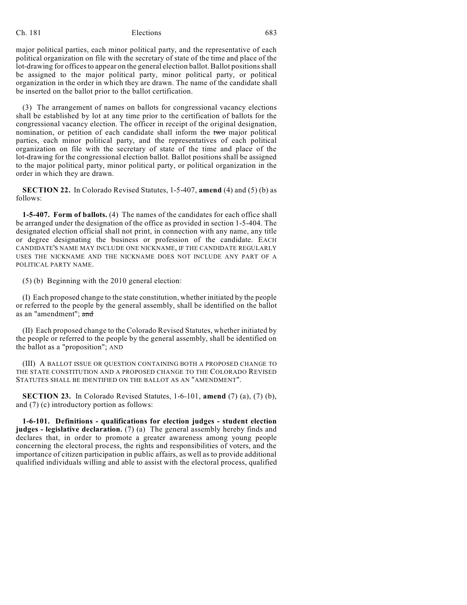major political parties, each minor political party, and the representative of each political organization on file with the secretary of state of the time and place of the lot-drawing for officesto appear on the general election ballot. Ballot positionsshall be assigned to the major political party, minor political party, or political organization in the order in which they are drawn. The name of the candidate shall be inserted on the ballot prior to the ballot certification.

(3) The arrangement of names on ballots for congressional vacancy elections shall be established by lot at any time prior to the certification of ballots for the congressional vacancy election. The officer in receipt of the original designation, nomination, or petition of each candidate shall inform the two major political parties, each minor political party, and the representatives of each political organization on file with the secretary of state of the time and place of the lot-drawing for the congressional election ballot. Ballot positions shall be assigned to the major political party, minor political party, or political organization in the order in which they are drawn.

**SECTION 22.** In Colorado Revised Statutes, 1-5-407, **amend** (4) and (5) (b) as follows:

**1-5-407. Form of ballots.** (4) The names of the candidates for each office shall be arranged under the designation of the office as provided in section 1-5-404. The designated election official shall not print, in connection with any name, any title or degree designating the business or profession of the candidate. EACH CANDIDATE'S NAME MAY INCLUDE ONE NICKNAME, IF THE CANDIDATE REGULARLY USES THE NICKNAME AND THE NICKNAME DOES NOT INCLUDE ANY PART OF A POLITICAL PARTY NAME.

(5) (b) Beginning with the 2010 general election:

(I) Each proposed change to the state constitution, whether initiated by the people or referred to the people by the general assembly, shall be identified on the ballot as an "amendment"; and

(II) Each proposed change to the Colorado Revised Statutes, whether initiated by the people or referred to the people by the general assembly, shall be identified on the ballot as a "proposition"; AND

(III) A BALLOT ISSUE OR QUESTION CONTAINING BOTH A PROPOSED CHANGE TO THE STATE CONSTITUTION AND A PROPOSED CHANGE TO THE COLORADO REVISED STATUTES SHALL BE IDENTIFIED ON THE BALLOT AS AN "AMENDMENT".

**SECTION 23.** In Colorado Revised Statutes, 1-6-101, **amend** (7) (a), (7) (b), and (7) (c) introductory portion as follows:

**1-6-101. Definitions - qualifications for election judges - student election judges - legislative declaration.** (7) (a) The general assembly hereby finds and declares that, in order to promote a greater awareness among young people concerning the electoral process, the rights and responsibilities of voters, and the importance of citizen participation in public affairs, as well as to provide additional qualified individuals willing and able to assist with the electoral process, qualified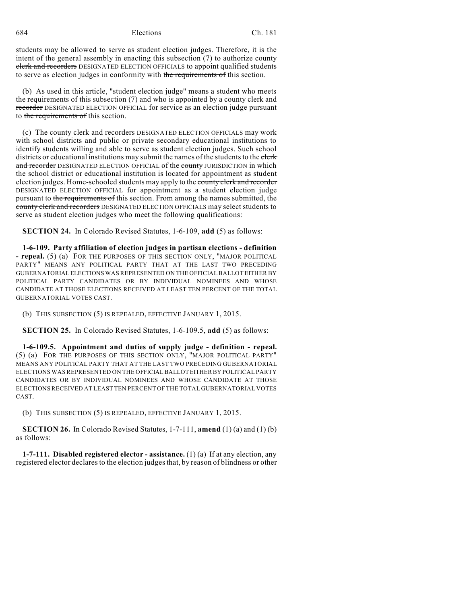students may be allowed to serve as student election judges. Therefore, it is the intent of the general assembly in enacting this subsection  $(7)$  to authorize county clerk and recorders DESIGNATED ELECTION OFFICIALS to appoint qualified students to serve as election judges in conformity with the requirements of this section.

(b) As used in this article, "student election judge" means a student who meets the requirements of this subsection  $(7)$  and who is appointed by a county clerk and recorder DESIGNATED ELECTION OFFICIAL for service as an election judge pursuant to the requirements of this section.

(c) The county clerk and recorders DESIGNATED ELECTION OFFICIALS may work with school districts and public or private secondary educational institutions to identify students willing and able to serve as student election judges. Such school districts or educational institutions may submit the names of the students to the clerk and recorder DESIGNATED ELECTION OFFICIAL of the county JURISDICTION in which the school district or educational institution is located for appointment as student election judges. Home-schooled students may apply to the county clerk and recorder DESIGNATED ELECTION OFFICIAL for appointment as a student election judge pursuant to the requirements of this section. From among the names submitted, the county clerk and recorders DESIGNATED ELECTION OFFICIALS may select students to serve as student election judges who meet the following qualifications:

**SECTION 24.** In Colorado Revised Statutes, 1-6-109, **add** (5) as follows:

**1-6-109. Party affiliation of election judges in partisan elections - definition - repeal.** (5) (a) FOR THE PURPOSES OF THIS SECTION ONLY, "MAJOR POLITICAL PARTY" MEANS ANY POLITICAL PARTY THAT AT THE LAST TWO PRECEDING GUBERNATORIAL ELECTIONS WAS REPRESENTED ON THE OFFICIAL BALLOT EITHER BY POLITICAL PARTY CANDIDATES OR BY INDIVIDUAL NOMINEES AND WHOSE CANDIDATE AT THOSE ELECTIONS RECEIVED AT LEAST TEN PERCENT OF THE TOTAL GUBERNATORIAL VOTES CAST.

(b) THIS SUBSECTION (5) IS REPEALED, EFFECTIVE JANUARY 1, 2015.

**SECTION 25.** In Colorado Revised Statutes, 1-6-109.5, **add** (5) as follows:

**1-6-109.5. Appointment and duties of supply judge - definition - repeal.** (5) (a) FOR THE PURPOSES OF THIS SECTION ONLY, "MAJOR POLITICAL PARTY" MEANS ANY POLITICAL PARTY THAT AT THE LAST TWO PRECEDING GUBERNATORIAL ELECTIONS WAS REPRESENTED ON THE OFFICIAL BALLOT EITHER BY POLITICAL PARTY CANDIDATES OR BY INDIVIDUAL NOMINEES AND WHOSE CANDIDATE AT THOSE ELECTIONS RECEIVED AT LEAST TEN PERCENT OF THE TOTAL GUBERNATORIAL VOTES CAST.

(b) THIS SUBSECTION (5) IS REPEALED, EFFECTIVE JANUARY 1, 2015.

**SECTION 26.** In Colorado Revised Statutes, 1-7-111, **amend** (1) (a) and (1) (b) as follows:

**1-7-111. Disabled registered elector - assistance.** (1) (a) If at any election, any registered elector declares to the election judges that, by reason of blindness or other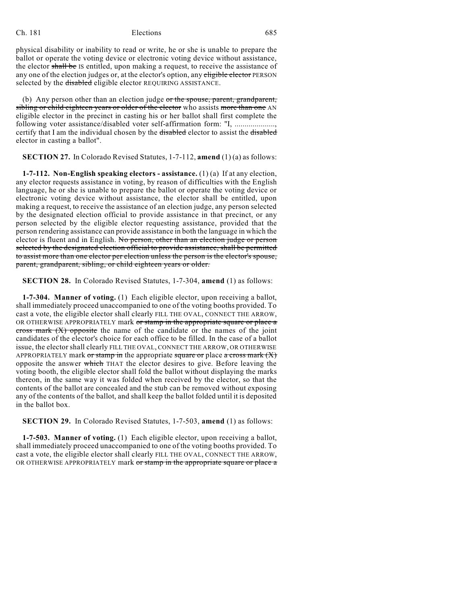physical disability or inability to read or write, he or she is unable to prepare the ballot or operate the voting device or electronic voting device without assistance, the elector shall be IS entitled, upon making a request, to receive the assistance of any one of the election judges or, at the elector's option, any eligible elector PERSON selected by the disabled eligible elector REQUIRING ASSISTANCE.

(b) Any person other than an election judge or the spouse, parent, grandparent, sibling or child eighteen years or older of the elector who assists more than one AN eligible elector in the precinct in casting his or her ballot shall first complete the following voter assistance/disabled voter self-affirmation form: "I, ...................., certify that I am the individual chosen by the disabled elector to assist the disabled elector in casting a ballot".

#### **SECTION 27.** In Colorado Revised Statutes, 1-7-112, **amend** (1) (a) as follows:

**1-7-112. Non-English speaking electors - assistance.** (1) (a) If at any election, any elector requests assistance in voting, by reason of difficulties with the English language, he or she is unable to prepare the ballot or operate the voting device or electronic voting device without assistance, the elector shall be entitled, upon making a request, to receive the assistance of an election judge, any person selected by the designated election official to provide assistance in that precinct, or any person selected by the eligible elector requesting assistance, provided that the person rendering assistance can provide assistance in both the language in which the elector is fluent and in English. No person, other than an election judge or person selected by the designated election official to provide assistance, shall be permitted to assist more than one elector per election unless the person is the elector's spouse, parent, grandparent, sibling, or child eighteen years or older.

#### **SECTION 28.** In Colorado Revised Statutes, 1-7-304, **amend** (1) as follows:

**1-7-304. Manner of voting.** (1) Each eligible elector, upon receiving a ballot, shall immediately proceed unaccompanied to one of the voting booths provided. To cast a vote, the eligible elector shall clearly FILL THE OVAL, CONNECT THE ARROW, OR OTHERWISE APPROPRIATELY mark or stamp in the appropriate square or place a cross mark  $(X)$  opposite the name of the candidate or the names of the joint candidates of the elector's choice for each office to be filled. In the case of a ballot issue, the elector shall clearly FILL THE OVAL, CONNECT THE ARROW, OR OTHERWISE APPROPRIATELY mark or stamp in the appropriate square or place a cross mark  $(X)$ opposite the answer which THAT the elector desires to give. Before leaving the voting booth, the eligible elector shall fold the ballot without displaying the marks thereon, in the same way it was folded when received by the elector, so that the contents of the ballot are concealed and the stub can be removed without exposing any of the contents of the ballot, and shall keep the ballot folded until it is deposited in the ballot box.

**SECTION 29.** In Colorado Revised Statutes, 1-7-503, **amend** (1) as follows:

**1-7-503. Manner of voting.** (1) Each eligible elector, upon receiving a ballot, shall immediately proceed unaccompanied to one of the voting booths provided. To cast a vote, the eligible elector shall clearly FILL THE OVAL, CONNECT THE ARROW, OR OTHERWISE APPROPRIATELY mark or stamp in the appropriate square or place a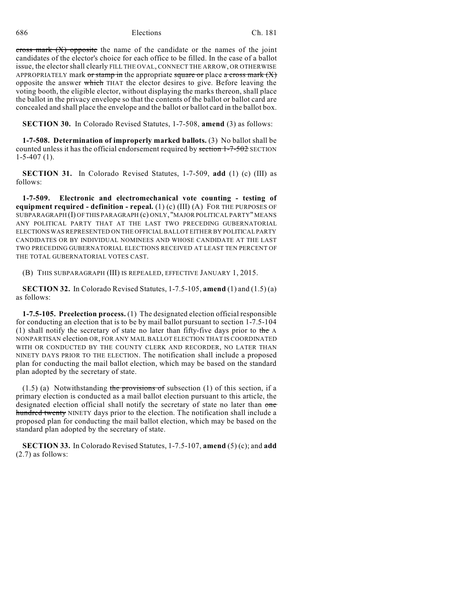cross mark  $(X)$  opposite the name of the candidate or the names of the joint candidates of the elector's choice for each office to be filled. In the case of a ballot issue, the elector shall clearly FILL THE OVAL, CONNECT THE ARROW, OR OTHERWISE APPROPRIATELY mark or stamp in the appropriate square or place a cross mark  $(X)$ opposite the answer which THAT the elector desires to give. Before leaving the voting booth, the eligible elector, without displaying the marks thereon, shall place the ballot in the privacy envelope so that the contents of the ballot or ballot card are concealed and shall place the envelope and the ballot or ballot card in the ballot box.

**SECTION 30.** In Colorado Revised Statutes, 1-7-508, **amend** (3) as follows:

**1-7-508. Determination of improperly marked ballots.** (3) No ballot shall be counted unless it has the official endorsement required by section 1-7-502 SECTION  $1-5-407(1)$ .

**SECTION 31.** In Colorado Revised Statutes, 1-7-509, **add** (1) (c) (III) as follows:

**1-7-509. Electronic and electromechanical vote counting - testing of equipment required - definition - repeal.** (1) (c) (III) (A) FOR THE PURPOSES OF SUBPARAGRAPH (I) OF THIS PARAGRAPH (c) ONLY, "MAJOR POLITICAL PARTY" MEANS ANY POLITICAL PARTY THAT AT THE LAST TWO PRECEDING GUBERNATORIAL ELECTIONSWAS REPRESENTED ON THE OFFICIALBALLOT EITHER BY POLITICAL PARTY CANDIDATES OR BY INDIVIDUAL NOMINEES AND WHOSE CANDIDATE AT THE LAST TWO PRECEDING GUBERNATORIAL ELECTIONS RECEIVED AT LEAST TEN PERCENT OF THE TOTAL GUBERNATORIAL VOTES CAST.

(B) THIS SUBPARAGRAPH (III) IS REPEALED, EFFECTIVE JANUARY 1, 2015.

**SECTION 32.** In Colorado Revised Statutes, 1-7.5-105, **amend** (1) and (1.5) (a) as follows:

**1-7.5-105. Preelection process.** (1) The designated election official responsible for conducting an election that is to be by mail ballot pursuant to section 1-7.5-104 (1) shall notify the secretary of state no later than fifty-five days prior to the A NONPARTISAN election OR, FOR ANY MAIL BALLOT ELECTION THAT IS COORDINATED WITH OR CONDUCTED BY THE COUNTY CLERK AND RECORDER, NO LATER THAN NINETY DAYS PRIOR TO THE ELECTION. The notification shall include a proposed plan for conducting the mail ballot election, which may be based on the standard plan adopted by the secretary of state.

 $(1.5)$  (a) Notwithstanding the provisions of subsection  $(1)$  of this section, if a primary election is conducted as a mail ballot election pursuant to this article, the designated election official shall notify the secretary of state no later than one hundred twenty NINETY days prior to the election. The notification shall include a proposed plan for conducting the mail ballot election, which may be based on the standard plan adopted by the secretary of state.

**SECTION 33.** In Colorado Revised Statutes, 1-7.5-107, **amend** (5) (c); and **add** (2.7) as follows: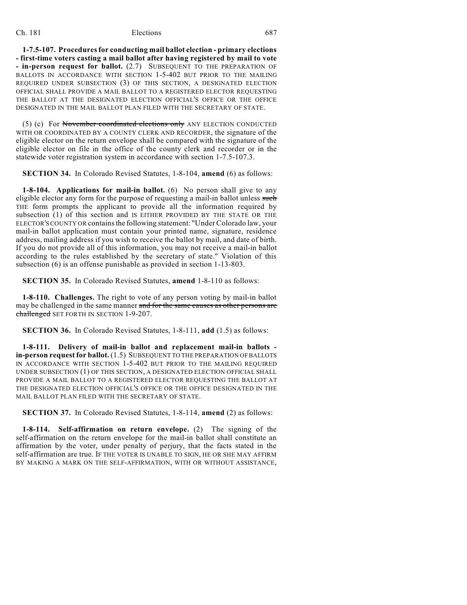**1-7.5-107. Proceduresfor conducting mail ballot election - primary elections - first-time voters casting a mail ballot after having registered by mail to vote - in-person request for ballot.** (2.7) SUBSEQUENT TO THE PREPARATION OF BALLOTS IN ACCORDANCE WITH SECTION 1-5-402 BUT PRIOR TO THE MAILING REQUIRED UNDER SUBSECTION (3) OF THIS SECTION, A DESIGNATED ELECTION OFFICIAL SHALL PROVIDE A MAIL BALLOT TO A REGISTERED ELECTOR REQUESTING THE BALLOT AT THE DESIGNATED ELECTION OFFICIAL'S OFFICE OR THE OFFICE DESIGNATED IN THE MAIL BALLOT PLAN FILED WITH THE SECRETARY OF STATE.

(5) (c) For November coordinated elections only ANY ELECTION CONDUCTED WITH OR COORDINATED BY A COUNTY CLERK AND RECORDER, the signature of the eligible elector on the return envelope shall be compared with the signature of the eligible elector on file in the office of the county clerk and recorder or in the statewide voter registration system in accordance with section 1-7.5-107.3.

**SECTION 34.** In Colorado Revised Statutes, 1-8-104, **amend** (6) as follows:

**1-8-104. Applications for mail-in ballot.** (6) No person shall give to any eligible elector any form for the purpose of requesting a mail-in ballot unless such THE form prompts the applicant to provide all the information required by subsection (1) of this section and IS EITHER PROVIDED BY THE STATE OR THE ELECTOR'SCOUNTY OR containsthe following statement: "Under Colorado law, your mail-in ballot application must contain your printed name, signature, residence address, mailing address if you wish to receive the ballot by mail, and date of birth. If you do not provide all of this information, you may not receive a mail-in ballot according to the rules established by the secretary of state." Violation of this subsection (6) is an offense punishable as provided in section 1-13-803.

**SECTION 35.** In Colorado Revised Statutes, **amend** 1-8-110 as follows:

**1-8-110. Challenges.** The right to vote of any person voting by mail-in ballot may be challenged in the same manner and for the same causes as other persons are challenged SET FORTH IN SECTION 1-9-207.

**SECTION 36.** In Colorado Revised Statutes, 1-8-111, **add** (1.5) as follows:

**1-8-111. Delivery of mail-in ballot and replacement mail-in ballots in-person request for ballot.** (1.5) SUBSEQUENT TO THE PREPARATION OF BALLOTS IN ACCORDANCE WITH SECTION 1-5-402 BUT PRIOR TO THE MAILING REQUIRED UNDER SUBSECTION (1) OF THIS SECTION, A DESIGNATED ELECTION OFFICIAL SHALL PROVIDE A MAIL BALLOT TO A REGISTERED ELECTOR REQUESTING THE BALLOT AT THE DESIGNATED ELECTION OFFICIAL'S OFFICE OR THE OFFICE DESIGNATED IN THE MAIL BALLOT PLAN FILED WITH THE SECRETARY OF STATE.

**SECTION 37.** In Colorado Revised Statutes, 1-8-114, **amend** (2) as follows:

**1-8-114. Self-affirmation on return envelope.** (2) The signing of the self-affirmation on the return envelope for the mail-in ballot shall constitute an affirmation by the voter, under penalty of perjury, that the facts stated in the self-affirmation are true. IF THE VOTER IS UNABLE TO SIGN, HE OR SHE MAY AFFIRM BY MAKING A MARK ON THE SELF-AFFIRMATION, WITH OR WITHOUT ASSISTANCE,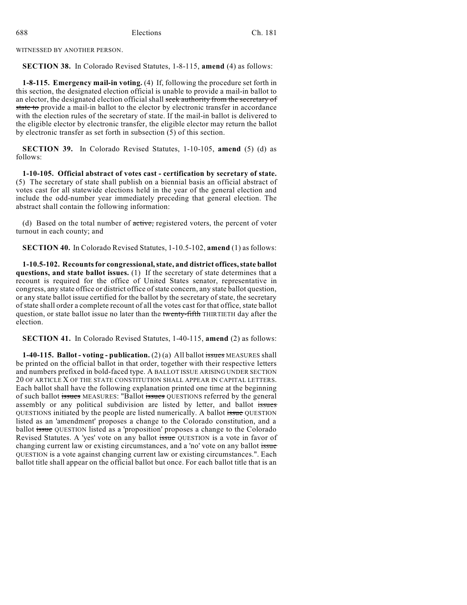WITNESSED BY ANOTHER PERSON.

**SECTION 38.** In Colorado Revised Statutes, 1-8-115, **amend** (4) as follows:

**1-8-115. Emergency mail-in voting.** (4) If, following the procedure set forth in this section, the designated election official is unable to provide a mail-in ballot to an elector, the designated election official shall seek authority from the secretary of state to provide a mail-in ballot to the elector by electronic transfer in accordance with the election rules of the secretary of state. If the mail-in ballot is delivered to the eligible elector by electronic transfer, the eligible elector may return the ballot by electronic transfer as set forth in subsection (5) of this section.

**SECTION 39.** In Colorado Revised Statutes, 1-10-105, **amend** (5) (d) as follows:

**1-10-105. Official abstract of votes cast - certification by secretary of state.** (5) The secretary of state shall publish on a biennial basis an official abstract of votes cast for all statewide elections held in the year of the general election and include the odd-number year immediately preceding that general election. The abstract shall contain the following information:

(d) Based on the total number of active, registered voters, the percent of voter turnout in each county; and

**SECTION 40.** In Colorado Revised Statutes, 1-10.5-102, **amend** (1) as follows:

**1-10.5-102. Recountsfor congressional,state, and district offices,state ballot questions, and state ballot issues.** (1) If the secretary of state determines that a recount is required for the office of United States senator, representative in congress, any state office or district office of state concern, any state ballot question, or any state ballot issue certified for the ballot by the secretary of state, the secretary of state shall order a complete recount of all the votes cast for that office, state ballot question, or state ballot issue no later than the twenty-fifth THIRTIETH day after the election.

**SECTION 41.** In Colorado Revised Statutes, 1-40-115, **amend** (2) as follows:

**1-40-115. Ballot - voting - publication.** (2) (a) All ballot issues MEASURES shall be printed on the official ballot in that order, together with their respective letters and numbers prefixed in bold-faced type. A BALLOT ISSUE ARISING UNDER SECTION 20 OF ARTICLE X OF THE STATE CONSTITUTION SHALL APPEAR IN CAPITAL LETTERS. Each ballot shall have the following explanation printed one time at the beginning of such ballot issues MEASURES: "Ballot issues QUESTIONS referred by the general assembly or any political subdivision are listed by letter, and ballot issues QUESTIONS initiated by the people are listed numerically. A ballot issue QUESTION listed as an 'amendment' proposes a change to the Colorado constitution, and a ballot issue QUESTION listed as a 'proposition' proposes a change to the Colorado Revised Statutes. A 'yes' vote on any ballot issue QUESTION is a vote in favor of changing current law or existing circumstances, and a 'no' vote on any ballot issue QUESTION is a vote against changing current law or existing circumstances.". Each ballot title shall appear on the official ballot but once. For each ballot title that is an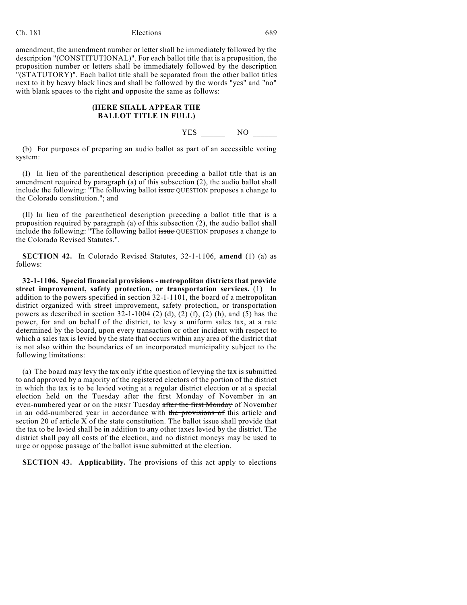amendment, the amendment number or letter shall be immediately followed by the description "(CONSTITUTIONAL)". For each ballot title that is a proposition, the proposition number or letters shall be immediately followed by the description "(STATUTORY)". Each ballot title shall be separated from the other ballot titles next to it by heavy black lines and shall be followed by the words "yes" and "no" with blank spaces to the right and opposite the same as follows:

#### **(HERE SHALL APPEAR THE BALLOT TITLE IN FULL)**

YES NO

(b) For purposes of preparing an audio ballot as part of an accessible voting system:

(I) In lieu of the parenthetical description preceding a ballot title that is an amendment required by paragraph (a) of this subsection (2), the audio ballot shall include the following: "The following ballot issue QUESTION proposes a change to the Colorado constitution."; and

(II) In lieu of the parenthetical description preceding a ballot title that is a proposition required by paragraph (a) of this subsection (2), the audio ballot shall include the following: "The following ballot issue QUESTION proposes a change to the Colorado Revised Statutes.".

**SECTION 42.** In Colorado Revised Statutes, 32-1-1106, **amend** (1) (a) as follows:

**32-1-1106. Special financial provisions - metropolitan districts that provide street improvement, safety protection, or transportation services.** (1) In addition to the powers specified in section 32-1-1101, the board of a metropolitan district organized with street improvement, safety protection, or transportation powers as described in section  $32-1-1004$  (2) (d), (2) (f), (2) (h), and (5) has the power, for and on behalf of the district, to levy a uniform sales tax, at a rate determined by the board, upon every transaction or other incident with respect to which a sales tax is levied by the state that occurs within any area of the district that is not also within the boundaries of an incorporated municipality subject to the following limitations:

(a) The board may levy the tax only if the question of levying the tax is submitted to and approved by a majority of the registered electors of the portion of the district in which the tax is to be levied voting at a regular district election or at a special election held on the Tuesday after the first Monday of November in an even-numbered year or on the FIRST Tuesday after the first Monday of November in an odd-numbered year in accordance with the provisions of this article and section 20 of article X of the state constitution. The ballot issue shall provide that the tax to be levied shall be in addition to any other taxes levied by the district. The district shall pay all costs of the election, and no district moneys may be used to urge or oppose passage of the ballot issue submitted at the election.

**SECTION 43. Applicability.** The provisions of this act apply to elections